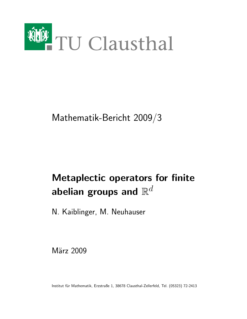

## Mathematik-Bericht 2009/3

# Metaplectic operators for finite abelian groups and  $\mathbb{R}^d$

N. Kaiblinger, M. Neuhauser

März 2009

Institut für Mathematik, Erzstraße 1, 38678 Clausthal-Zellerfeld, Tel. (05323) 72-2413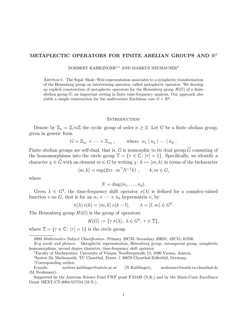### METAPLECTIC OPERATORS FOR FINITE ABELIAN GROUPS AND  $\mathbb{R}^d$

NORBERT KAIBLINGER<sup>1</sup>,<sup>∗</sup> AND MARKUS NEUHAUSER<sup>2</sup>

Abstract. The Segal–Shale–Weil representation associates to a symplectic transformation of the Heisenberg group an intertwining operator, called metaplectic operator. We develop an explicit construction of metaplectic operators for the Heisenberg group  $H(G)$  of a finite abelian group  $G$ , an important setting in finite time-frequency analysis. Our approach also yields a simple construction for the multivariate Euclidean case  $G = \mathbb{R}^d$ .

#### **INTRODUCTION**

Denote by  $\mathbb{Z}_n = \mathbb{Z}/n\mathbb{Z}$  the cyclic group of order  $n \geq 2$ . Let G be a finite abelian group, given in generic form

$$
G = \mathbb{Z}_{n_1} \times \cdots \times \mathbb{Z}_{n_d} , \qquad \text{where} \ \ n_1 \mid n_2 \mid \cdots \mid n_d .
$$

Finite abelian groups are self-dual, that is, G is isomorphic to its dual group  $\widehat{G}$  consisting of the homomorphisms into the circle group  $\mathbb{T} = {\tau \in \mathbb{C} : |\tau| = 1}$ . Specifically, we identify a character  $\chi \in \widehat{G}$  with an element  $m \in G$  by writing  $\chi: k \mapsto \langle m, k \rangle$  in terms of the bicharacter

$$
\langle m, k \rangle = \exp(2\pi i \cdot m^{\top} N^{-1} k) , \qquad k, m \in G,
$$

where

$$
N = \text{diag}(n_1, \ldots, n_d).
$$

Given  $\lambda \in G^2$ , the time-frequency shift operator  $\pi(\lambda)$  is defined for a complex-valued function v on G, that is for an  $n_1 \times \cdots \times n_d$  hypermatrix v, by

$$
\pi(\lambda) v(k) = \langle m, k \rangle v(k-l), \qquad \lambda = (l, m) \in G^2.
$$

The Heisenberg group  $H(G)$  is the group of operators

$$
H(G) := \{ \tau \pi(\lambda) \colon \lambda \in G^2, \ \tau \in \mathbb{T} \},
$$

where  $\mathbb{T} = \{ \tau \in \mathbb{C} : |\tau| = 1 \}$  is the circle group.

<sup>2000</sup> Mathematics Subject Classification. Primary 20C33; Secondary 20K01, 42C15, 81S30.

Key words and phrases. Metaplectic representation, Heisenberg group, extraspecial group, symplectic homomorphism, second degree character, time-frequency shift operator.

<sup>1</sup>Faculty of Mathematics, University of Vienna, Nordbergstraße 15, 1090 Vienna, Austria.

 ${}^{2}$ Insitut für Mathematik, TU Clausthal, Erzstr. 1 38678 Clausthal-Zellerfeld, Germany.

<sup>∗</sup>Corresponding author.

E-mails: norbert.kaiblinger@univie.ac.at (N. Kaiblinger), neuhauser@math.tu-clausthal.de (M. Neuhauser).

Supported by the Austrian Science Fund FWF grant P 21339 (N.K.) and by the Marie-Curie Excellence Grant MEXT-CT-2004-517154 (M.N.).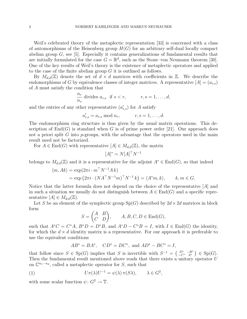Weil's celebrated theory of the metaplectic representation [33] is concerned with a class of automorphisms of the Heisenberg group  $H(G)$  for an arbitrary self-dual locally compact abelian group  $G$ , see [5]. Especially it contains generalizations of fundamental results that are initially formulated for the case  $G = \mathbb{R}^d$ , such as the Stone-von Neumann theorem [30]. One of the key results of Weil's theory is the existence of metaplectic operators and applied to the case of the finite abelian group  $G$  it is outlined as follows.

By  $M_{d,d}(\mathbb{Z})$  denote the set of  $d \times d$  matrices with coefficients in  $\mathbb{Z}$ . We describe the endomorphisms of G by equivalence classes of integer matrices. A representative  $[A] = (a_{r,s})$ of A must satisfy the condition that

$$
\frac{n_r}{n_s} \text{ divides } a_{r,s} \text{ if } s < r, \qquad r, s = 1, \dots, d,
$$

and the entries of any other representative  $(a'_{r,s})$  for A satisfy

$$
a'_{r,s} = a_{r,s} \bmod n_r, \qquad r, s = 1, \ldots, d.
$$

The endomorphism ring structure is thus given by the usual matrix operations. This description of  $End(G)$  is standard when G is of prime power order [21]. Our approach does not a priori split G into  $p$ -groups, with the advantage that the operators used in the main result need not be factorized.

For  $A \in \text{End}(G)$  with representative  $[A] \in M_{d,d}(\mathbb{Z})$ , the matrix

$$
[A]^* = N[A]^\top N^{-1}
$$

belongs to  $M_{d,d}(\mathbb{Z})$  and it is a representative for the adjoint  $A^* \in \text{End}(G)$ , so that indeed

$$
\langle m, Ak \rangle = \exp(2\pi i \cdot m^{\top} N^{-1} A k)
$$
  
=  $\exp(2\pi i \cdot (N A^{\top} N^{-1} m)^{\top} N^{-1} k) = \langle A^* m, k \rangle$ ,  $k, m \in G$ .

Notice that the latter formula does not depend on the choice of the representative [A] and in such a situation we usually do not distinguish between  $A \in End(G)$  and a specific representative  $[A] \in M_{d,d}(\mathbb{Z})$ .

Let S be an element of the symplectic group  $Sp(G)$  described by  $2d \times 2d$  matrices in block form

$$
S = \begin{pmatrix} A & B \\ C & D \end{pmatrix}, \qquad A, B, C, D \in \text{End}(G),
$$

such that  $A^*C = C^*A$ ,  $B^*D = D^*B$ , and  $A^*D - C^*B = I$ , with  $I \in End(G)$  the identity, for which the  $d \times d$  identity matrix is a representative. For our approach it is preferable to use the equivalent conditions

$$
AB^* = BA^*
$$
,  $CD^* = DC^*$ , and  $AD^* - BC^* = I$ ,

that follow since  $S \in Sp(G)$  implies that S is invertible with  $S^{-1} = \begin{pmatrix} D^* & -B^* \ -C^* & A^* \end{pmatrix} \in Sp(G)$ . Then the fundamental result mentioned above reads that there exists a unitary operator  $U$ on  $\mathbb{C}^{n_1 \cdots n_d}$ , called a metaplectic operator for S, such that

(1) 
$$
U\pi(\lambda)U^{-1} = \psi(\lambda)\pi(S\lambda), \qquad \lambda \in G^2,
$$

with some scalar function  $\psi: G^2 \to \mathbb{T}$ .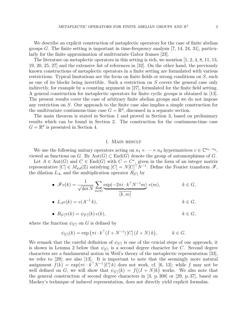We describe an explicit construction of metaplectic operators for the case of finite abelian groups G. The finite setting is important in time-frequency analysis  $[7, 14, 24, 31]$ , particularly for the finite approximation of multivariate Gabor frames [23].

The literature on metaplectic operators in this setting is rich, we mention  $[1, 2, 4, 8, 11, 13,$ 19, 20, 25, 27] and the extensive list of references in [32]. On the other hand, the previously known constructions of metaplectic operators in a finite setting are formulated with various restrictions. Typical limitations are the focus on finite fields or strong conditions on S, such as one of its blocks being invertible. Such a restriction on S covers the general case only indirectly, for example by a counting argument in [27], formulated for the finite field setting. A general construction for metaplectic operators for finite cyclic groups is obtained in [13]. The present results cover the case of arbitrary finite abelian groups and we do not impose any restriction on S. Our approach to the finite case also implies a simple construction for the multivariate continuous-time case  $G = \mathbb{R}^d$ , discussed in a separate section.

The main theorem is stated in Section 1 and proved in Section 3, based on preliminary results which can be found in Section 2. The construction for the continuous-time case  $G = \mathbb{R}^d$  is presented in Section 4.

#### 1. Main result

We use the following unitary operators acting on  $n_1 \times \cdots \times n_d$  hypermatrices  $v \in \mathbb{C}^{n_1 \cdots n_d}$ , viewed as functions on G. By Aut $(G) \subset End(G)$  denote the group of automorphisms of G.

Let  $A \in \text{Aut}(G)$  and  $C \in \text{End}(G)$  with  $C = C^*$ , given in the form of an integer matrix representative  $[C] \in M_{d,d}(\mathbb{Z})$  satisfying  $[C] = N[C]^\top N^{-1}$ . Define the Fourier transform  $\mathscr{F}$ , the dilation  $L_A$ , and the multiplication operator  $R_{[C]}$  by

• 
$$
\mathscr{F}v(k) = \frac{1}{\sqrt{\det N}} \sum_{m \in G} \underbrace{\exp(-2\pi i \cdot k^{\top} N^{-1} m)}_{\langle k, m \rangle} v(m), \qquad k \in G,
$$
  
\n•  $L_A v(k) = v(A^{-1} k), \qquad k \in G,$ 

•  $R_{[C]}v(k) = \psi_{[C]}(k)v(k),$  k ∈ G,

where the function  $\psi_{[C]}$  on G is defined by

$$
\psi_{[C]}(k) = \exp\left(\pi i \cdot k^\top (I + N^{-1}) [C] (I + N) k\right), \qquad k \in G.
$$

We remark that the careful definition of  $\psi_{[C]}$  is one of the crucial steps of our approach, it is shown in Lemma 2 below that  $\psi_{[C]}$  is a second degree character for C. Second degree characters are a fundamental notion in Weil's theory of the metaplectic representation [33], we refer to [29]; see also [13]. It is important to note that the seemingly more natural assignment  $f(k) = \exp(\pi i \cdot k^{\top} N^{-1} [C] k)$  does not work, cf. [6, 13]; while f may not be well defined on G, we will show that  $\psi_{[C]}(k) = f((I + N)k)$  works. We also note that the general construction of second degree characters in [3, p. 308] or [29, p. 37], based on Mackey's technique of induced representation, does not directly yield explicit formulas.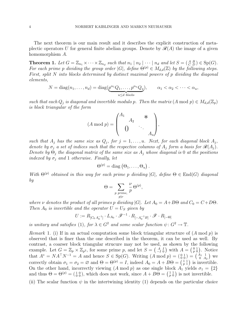The next theorem is our main result and it describes the explicit construction of metaplectic operators U for general finite abelian groups. Denote by  $\mathcal{R}(A)$  the image of a given homomorphism A.

**Theorem 1.** Let  $G = \mathbb{Z}_{n_1} \times \cdots \times \mathbb{Z}_{n_d}$  such that  $n_1 | n_2 | \cdots | n_d$  and let  $S = \begin{pmatrix} A & B \\ C & D \end{pmatrix} \in Sp(G)$ . For each prime p dividing the group order  $|G|$ , define  $\Theta^{(p)} \in M_{d,d}(\mathbb{Z})$  by the following steps. First, split  $N$  into blocks determined by distinct maximal powers of p dividing the diagonal elements,

$$
N = \text{diag}(n_1, \dots, n_d) = \text{diag}(\underbrace{p^{\alpha_1} Q_1, \dots, p^{\alpha_u} Q_u}_{u \le d \text{ blocks}}), \qquad \alpha_1 < \alpha_2 < \dots < \alpha_u,
$$

such that each  $Q_j$  is diagonal and invertible modulo p. Then the matrix  $(A \mod p) \in M_{d,d}(\mathbb{Z}_p)$ is block triangular of the form

$$
(A \bmod p) = \begin{pmatrix} A_1 & & * \\ & A_2 & & \\ & & \ddots & \\ & & & A_u \end{pmatrix},
$$

such that  $A_j$  has the same size as  $Q_j$ , for  $j = 1, \ldots, u$ . Next, for each diagonal block  $A_j$ , denote by  $\sigma_j$  a set of indices such that the respective columns of  $A_j$  form a basis for  $\mathcal{R}(A_j)$ . Denote by  $\Theta_i$  the diagonal matrix of the same size as  $A_i$  whose diagonal is 0 at the positions indexed by  $\sigma_i$  and 1 otherwise. Finally, let

$$
\Theta^{(p)} = \mathrm{diag}(\Theta_1, \ldots, \Theta_u).
$$

With  $\Theta^{(p)}$  obtained in this way for each prime p dividing  $|G|$ , define  $\Theta \in \text{End}(G)$  diagonal by

$$
\Theta = \sum_{\substack{p \text{ prime}, \\ p|\nu}} \frac{\nu}{p} \Theta^{(p)},
$$

where  $\nu$  denotes the product of all primes p dividing  $|G|$ . Let  $A_0 = A + B\Theta$  and  $C_0 = C + D\Theta$ . Then  $A_0$  is invertible and the operator  $U = U_S$  given by

$$
U:=R_{[C_0A_0^{-1}]} \cdot L_{A_0}\cdot \mathscr{F}^{-1}\cdot R_{[-A_0^{-1}B]}\cdot \mathscr{F}\cdot R_{[-\Theta]}
$$

is unitary and satisfies (1), for  $\lambda \in G^2$  and some scalar function  $\psi \colon G^2 \to \mathbb{T}$ .

*Remark* 1. (i) If in an actual computation some block triangular structure of  $(A \text{ mod } p)$  is observed that is finer than the one described in the theorem, it can be used as well. By contrast, a coarser block triangular strucure may not be used, as shown by the following example. Let  $G = \mathbb{Z}_p \times \mathbb{Z}_{p^2}$ , for some prime p, and let  $S = \begin{pmatrix} A & I \\ -I & 0 \end{pmatrix}$  with  $A = \begin{pmatrix} 0 & 1 \\ P & 0 \end{pmatrix}$ . Notice that  $A^* = NA^{\top}N^{-1} = A$  and hence  $S \in Sp(G)$ . Writing  $(A \mod p) = \begin{pmatrix} 0 & 1 \\ 0 & 0 \end{pmatrix} = \begin{pmatrix} A_1 & 1 \\ 0 & A_2 \end{pmatrix}$  we correctly obtain  $\sigma_1 = \sigma_2 = \emptyset$  and  $\Theta = \Theta^{(p)} = I$ , indeed  $A_0 = A + B\Theta = \begin{pmatrix} 1 & 1 \\ p & 1 \end{pmatrix}$  is invertible. On the other hand, incorrectly viewing  $(A \mod p)$  as one single block  $A_1$  yields  $\sigma_1 = \{2\}$ and thus  $\Theta = \Theta^{(p)} = \begin{pmatrix} 1 & 0 \\ 0 & 0 \end{pmatrix}$ , which does not work, since  $A + B\Theta = \begin{pmatrix} 1 & 1 \\ p & 0 \end{pmatrix}$  is not invertible.

(ii) The scalar function  $\psi$  in the intertwining identity (1) depends on the particular choice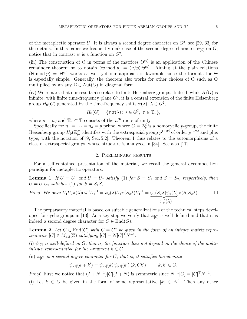of the metaplectic operator U. It is always a second degree character on  $G^2$ , see [29, 33] for the details. In this paper we frequently make use of the second degree character  $\psi_{[C]}$  on G, notice that in contrast  $\psi$  is a function on  $G^2$ .

(iii) The construction of  $\Theta$  in terms of the matrices  $\Theta^{(p)}$  is an application of the Chinese remainder theorem so to obtain  $(\Theta \mod p) = (\nu/p) \Theta^{(p)}$ . Aiming at the plain relations  $(\Theta \mod p) = \Theta^{(p)}$  works as well yet our approach is favorable since the formula for  $\Theta$ is especially simple. Generally, the theorem also works for other choices of  $\Theta$  such as  $\Theta$ multiplied by an any  $\Sigma \in \text{Aut}(G)$  in diagonal form.

(iv) We remark that our results also relate to finite Heisenberg groups. Indeed, while  $H(G)$  is infinite, with finite time-frequency plane  $G^2$ , it is a central extension of the finite Heisenberg group  $H_0(G)$  generated by the time-frequency shifts  $\pi(\lambda)$ ,  $\lambda \in G^2$ ,

$$
H_0(G) = \{ \tau \pi(\lambda) : \lambda \in G^2, \ \tau \in \mathbb{T}_n \},
$$

where  $n = n_d$  and  $\mathbb{T}_n \subset \mathbb{T}$  consists of the  $n^{\text{th}}$  roots of unity.

Specifically for  $n_1 = \cdots = n_d = p$  prime, where  $G = \mathbb{Z}_p^d$  is a homocyclic p-group, the finite Heisenberg group  $H_0(\mathbb{Z}_p^d)$  identifies with the extraspecial group  $p_+^{1+2d}$  of order  $p_+^{1+2d}$  and plus type, with the notation of [9, Sec. 5.2]. Theorem 1 thus relates to the automorphisms of a class of extraspecial groups, whose structure is analyzed in [34]. See also [17].

#### 2. Preliminary results

For a self-contained presentation of the material, we recall the general decomposition paradigm for metaplectic operators.

**Lemma 1.** If  $U = U_1$  and  $U = U_2$  satisfy (1) for  $S = S_1$  and  $S = S_2$ , respectively, then  $U = U_1U_2$  satisfies (1) for  $S = S_1S_2$ .

*Proof.* We have 
$$
U_1 U_2 \pi(\lambda) U_2^{-1} U_1^{-1} = \psi_2(\lambda) U_1 \pi(S_2 \lambda) U_1^{-1} = \underbrace{\psi_1(S_2 \lambda) \psi_2(\lambda)}_{=: \psi(\lambda)} \pi(S_1 S_2 \lambda).
$$
  $\square$ 

The preparatory material is based on suitable generalizations of the technical steps developed for cyclic groups in [13]. As a key step we verify that  $\psi_{[C]}$  is well-defined and that it is indeed a second degree character for  $C \in \text{End}(G)$ .

**Lemma 2.** Let  $C \in End(G)$  with  $C = C^*$  be given in the form of an integer matrix representative  $[C] \in M_{d,d}(\mathbb{Z})$  satisfying  $[C] = N[C]^\top N^{-1}$ .

(i)  $\psi_{[C]}$  is well-defined on G, that is, the function does not depend on the choice of the multiinteger representative for the argument  $k \in G$ .

(ii)  $\psi_{[C]}$  is a second degree character for C, that is, it satisfies the identity

$$
\psi_{[C]}(k+k') = \psi_{[C]}(k) \psi_{[C]}(k') \langle k, Ck' \rangle, \qquad k, k' \in G.
$$

*Proof.* First we notice that  $(I + N^{-1})[C](I + N)$  is symmetric since  $N^{-1}[C] = [C]^T N^{-1}$ . (i) Let  $k \in G$  be given in the form of some representative  $[k] \in \mathbb{Z}^d$ . Then any other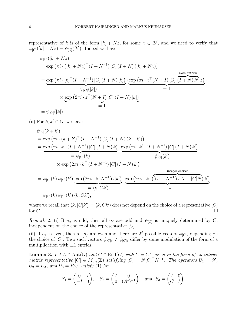representative of k is of the form  $[k] + Nz$ , for some  $z \in \mathbb{Z}^d$ , and we need to verify that  $\psi_{[C]}([k]+Nz)=\psi_{[C]}([k])$ . Indeed we have

$$
\psi_{[C]}([k] + Nz)
$$
\n
$$
= \exp(\pi i \cdot ([k] + Nz)^{\top} (I + N^{-1}) [C] (I + N) ([k] + Nz))
$$
\n
$$
= \exp(\pi i \cdot [k]^{\top} (I + N^{-1}) [C] (I + N) [k]) \cdot \exp(\pi i \cdot z^{\top} (N + I) [C] \overbrace{(I + N) N}^{\text{even entries}} z)
$$
\n
$$
= \psi_{[C]}([k])
$$
\n
$$
\times \exp(2\pi i \cdot z^{\top} (N + I) [C] (I + N) [k])
$$
\n
$$
= 1
$$
\n
$$
= \psi_{[C]}([k]) .
$$

(ii) For  $k, k' \in G$ , we have

$$
\psi_{[C]}(k+k')
$$
\n
$$
= \exp(\pi i \cdot (k+k')^{\top} (I+N^{-1}) [C] (I+N) (k+k'))
$$
\n
$$
= \exp(\pi i \cdot k^{\top} (I+N^{-1}) [C] (I+N) k) \cdot \exp(\pi i \cdot k'^{\top} (I+N^{-1}) [C] (I+N) k')
$$
\n
$$
= \psi_{[C]}(k)
$$
\n
$$
\times \exp(2\pi i \cdot k^{\top} (I+N^{-1}) [C] (I+N) k')
$$
\n
$$
= \psi_{[C]}(k) \psi_{[C]}(k') \exp(2\pi i \cdot k^{\top} N^{-1} [C]k') \cdot \exp(2\pi i \cdot k^{\top} ([C]+N^{-1} [C]N + [C]N) k')
$$
\n
$$
= \langle k, Ck' \rangle
$$
\n
$$
= \psi_{[C]}(k) \psi_{[C]}(k') \langle k, Ck' \rangle,
$$
\n
$$
= \psi_{[C]}(k) \psi_{[C]}(k') \langle k, Ck' \rangle,
$$

where we recall that  $\langle k, [C]k' \rangle = \langle k, Ck' \rangle$  does not depend on the choice of a representative [C] for C.

Remark 2. (i) If  $n_d$  is odd, then all  $n_j$  are odd and  $\psi_{[C]}$  is uniquely determined by C, independent on the choice of the representative  $[C]$ .

(ii) If  $n_1$  is even, then all  $n_j$  are even and there are  $2^d$  possible vectors  $\psi_{[C]}$ , depending on the choice of [C]. Two such vectors  $\psi_{[C]_1} \neq \psi_{[C]_2}$  differ by some modulation of the form of a multiplication with  $\pm 1$  entries.

**Lemma 3.** Let  $A \in \text{Aut}(G)$  and  $C \in \text{End}(G)$  with  $C = C^*$ , given in the form of an integer matrix representative  $[C] \in M_{d,d}(\mathbb{Z})$  satisfying  $[C] = N[C]^\top N^{-1}$ . The operators  $U_1 = \mathscr{F}$ ,  $U_2 = L_A$ , and  $U_3 = R_{[C]}$  satisfy (1) for

$$
S_1 = \begin{pmatrix} 0 & I \\ -I & 0 \end{pmatrix}, \quad S_2 = \begin{pmatrix} A & 0 \\ 0 & (A^*)^{-1} \end{pmatrix}, \quad and \quad S_3 = \begin{pmatrix} I & 0 \\ C & I \end{pmatrix},
$$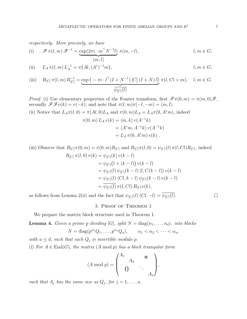respectively. More precisely, we have

(i) 
$$
\mathscr{F} \pi(l,m) \mathscr{F}^{-1} = \underbrace{\exp(2\pi i \cdot m^{\top} N^{-1} l)}_{\langle m, l \rangle} \pi(m,-l),
$$
   
  $l,m \in G,$ 

(ii) 
$$
L_A \pi(l, m) L_A^{-1} = \pi\left(Al, (A^*)^{-1}m\right),
$$
  $l, m \in G,$ 

(iii) 
$$
R_{[C]}\pi(l,m) R_{[C]}^{-1} = \underbrace{\exp(-\pi i \cdot l^{T}(I + N^{-1}) [C] (I + N) l)}_{\overline{\psi_{[C]}(l)}} \pi(l, Cl + m), \quad l, m \in G.
$$

*Proof.* (i) Use elementary properties of the Fourier transform, first  $\mathscr{F}\pi(0,m) = \pi(m,0)\mathscr{F}$ , secondly  $\mathscr{FF}v(k) = v(-k)$ , and note that  $\pi(l,m)\pi(-l,-m) = \langle m, l \rangle$ .

(ii) Notice that 
$$
L_A \pi(l, 0) = \pi(Al, 0)L_A
$$
 and  $\pi(0, m)L_A = L_A \pi(0, A^*m)$ , indeed  
\n
$$
\pi(0, m) L_A v(k) = \langle m, k \rangle v(A^{-1}k)
$$
\n
$$
= \langle A^*m, A^{-1}k \rangle v(A^{-1}k)
$$
\n
$$
= L_A \pi(0, A^*m) v(k).
$$

(iii) Observe that  $R_{[C]} \pi(0, m) = \pi(0, m) R_{[C]}$  and  $R_{[C]} \pi(l, 0) = \psi_{[C]}(l) \pi(l, Cl) R_{[C]}$ , indeed  $R_{[C]}\,\pi(l,0)\,v(k)=\psi_{[C]}(k)\,v(k-l)$  $= \psi_{[C]}(l + (k - l)) v(k - l)$  $= \psi_{[C]}(l) \psi_{[C]}(k - l) \langle l, C(k - l) \rangle v(k - l)$  $= \psi_{[C]}(l) \langle Cl, k - l \rangle \psi_{[C]}(k - l) v(k - l)$ =  $\overline{\psi_{|C|}(l)} \pi(l, Cl) R_{|C|} v(k),$ 

as follows from Lemma 2(ii) and the fact that  $\psi_{[C]}(l)\langle Cl, -l \rangle = \overline{\psi_{[C]}(l)}$ .

3. Proof of Theorem 1

We prepare the matrix block structure used in Theorem 1.

**Lemma 4.** Given a prime p dividing  $|G|$ , split  $N = \text{diag}(n_1, \ldots, n_d)$ . into blocks

$$
N = \text{diag}(p^{\alpha_1}Q_1, \dots, p^{\alpha_u}Q_u), \qquad \alpha_1 < \alpha_2 < \dots < \alpha_u,
$$

with  $u \leq d$ , such that each  $Q_j$  is invertible modulo p. (i) For  $A \in End(G)$ , the matrix  $(A \mod p)$  has a block triangular form

$$
(A \bmod p) = \begin{pmatrix} A_1 & & & \ast & \\ & A_2 & & \\ & & \ddots & \\ & & & A_u \end{pmatrix},
$$

such that  $A_j$  has the same size as  $Q_j$ , for  $j = 1, \ldots, u$ .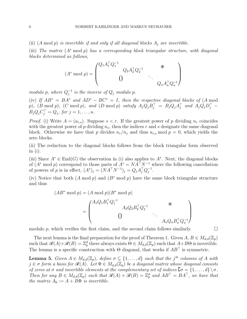(ii)  $(A \bmod p)$  is invertible if and only if all diagonal blocks  $A_i$  are invertible.

(iii) The matrix  $(A^* \mod p)$  has a corresponding block triangular structure, with diagonal blocks determined as follows,

$$
(A^* \bmod p) = \begin{pmatrix} Q_1 A_1^\top Q_1^{-1} & & * & \\ & Q_2 A_2^\top Q_2^{-1} & & \\ & & \ddots & \\ & & & Q_u A_u^\top Q_u^{-1} \end{pmatrix}
$$

modulo p, where  $Q_j^{-1}$  is the inverse of  $Q_j$  modulo p.

(iv) If  $AB^* = BA^*$  and  $AD^* - BC^* = I$ , then the respective diagonal blocks of (A mod p),  $(B \bmod p)$ ,  $(C \bmod p)$ , and  $(D \bmod p)$  satisfy  $A_j Q_j B_j^{\top} = B_j Q_j A_j^{\top}$  and  $A_j Q_j D_j^{\top}$  $B_j Q_j C_j^{\top} = Q_j$ , for  $j = 1, \ldots, u$ .

*Proof.* (i) Write  $A = (a_{r,s})$ . Suppose  $s < r$ . If the greatest power of p dividing  $n_r$  coincides with the greatest power of p dividing  $n_s$ , then the indices r and s designate the same diagonal block. Otherwise we have that p divides  $n_r/n_s$  and thus  $a_{r,s}$  mod  $p = 0$ , which yields the zero blocks.

(ii) The reduction to the diagonal blocks follows from the block triangular form observed in  $(i)$ .

(iii) Since  $A^* \in End(G)$  the observation in (i) also applies to  $A^*$ . Next, the diagonal blocks of  $(A^* \text{ mod } p)$  correspond to those parts of  $A^* = NA^TN^{-1}$  where the following cancellation of powers of p is in effect,  $(A^*)_j = (NA^{\top}N^{-1})_j = Q_jA_j^{\top}Q_j^{-1}$ .

(iv) Notice that both  $(A \mod p)$  and  $(B^* \mod p)$  have the same block triangular structure and thus

$$
(AB^* \bmod p) = (A \bmod p)(B^* \bmod p)
$$
  
= 
$$
\begin{pmatrix} A_1 Q_1 B_1^\top Q_1^{-1} & * & * \\ & A_2 Q_2 B_2^\top Q_2^{-1} & \cdots & * \\ & & \ddots & \\ & & & A_u Q_u B_u^\top Q_u^{-1} \end{pmatrix}
$$

modulo p, which verifies the first claim, and the second claim follows similarly.  $\Box$ 

The next lemma is the final preparation for the proof of Theorem 1. Given  $A, B \in M_{d,d}(\mathbb{Z}_p)$ such that  $\mathscr{R}(A)+\mathscr{R}(B)=\mathbb{Z}_p^d$  there always exists  $\Theta\in M_{d,d}(\mathbb{Z}_p)$  such that  $A+B\Theta$  is invertible. The lemma is a specific construction with  $\Theta$  diagonal, that works if  $AB^{\top}$  is symmetric.

**Lemma 5.** Given  $A \in M_{d,d}(\mathbb{Z}_p)$ , define  $\sigma \subseteq \{1, \ldots, d\}$  such that the j<sup>th</sup> columns of A with  $j \in \sigma$  form a basis for  $\mathcal{R}(A)$ . Let  $\Phi \in M_{d,d}(\mathbb{Z}_p)$  be a diagonal matrix whose diagonal consists of zeros at  $\sigma$  and invertible elements at the complementary set of indices  ${\mathcal{C}}\sigma = \{1,\ldots,d\} \setminus \sigma$ . Then for any  $B \in M_{d,d}(\mathbb{Z}_p)$  such that  $\mathscr{R}(A) + \mathscr{R}(B) = \mathbb{Z}_p^d$  and  $AB^{\top} = BA^{\top}$ , we have that the matrix  $A_0 := A + B\Phi$  is invertible.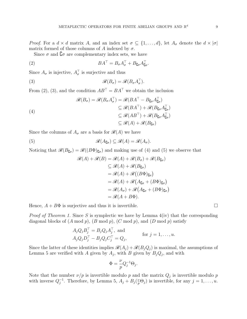*Proof.* For a  $d \times d$  matrix A, and an index set  $\sigma \subseteq \{1, \ldots, d\}$ , let  $A_{\sigma}$  denote the  $d \times |\sigma|$ matrix formed of those columns of A indexed by  $\sigma$ .

Since  $\sigma$  and  ${\mathcal{C}}\sigma$  are complementary index sets, we have

(2) 
$$
BA^{\top} = B_{\sigma} A_{\sigma}^{\top} + B_{\mathbf{C}\sigma} A_{\mathbf{C}\sigma}^{\top}.
$$

Since  $A_{\sigma}$  is injective,  $A_{\sigma}^{\dagger}$  is surjective and thus

(3) 
$$
\mathscr{R}(B_{\sigma}) = \mathscr{R}(B_{\sigma}A_{\sigma}^{\top}).
$$

From (2), (3), and the condition  $AB^{\dagger} = BA^{\dagger}$  we obtain the inclusion

(4)  
\n
$$
\mathscr{R}(B_{\sigma}) = \mathscr{R}(B_{\sigma}A_{\sigma}^{T}) = \mathscr{R}(BA^{T} - B_{\mathbf{C}\sigma}A_{\mathbf{C}\sigma}^{T})
$$
\n
$$
\subseteq \mathscr{R}(BA^{T}) + \mathscr{R}(B_{\mathbf{C}\sigma}A_{\mathbf{C}\sigma}^{T})
$$
\n
$$
\subseteq \mathscr{R}(AB^{T}) + \mathscr{R}(B_{\mathbf{C}\sigma}A_{\mathbf{C}\sigma}^{T})
$$
\n
$$
\subseteq \mathscr{R}(A) + \mathscr{R}(B_{\mathbf{C}\sigma})
$$

Since the columns of  $A_{\sigma}$  are a basis for  $\mathcal{R}(A)$  we have

(5) 
$$
\mathscr{R}(A_{\complement \sigma}) \subseteq \mathscr{R}(A) = \mathscr{R}(A_{\sigma}).
$$

Noticing that  $\mathscr{R}(B_{\mathbb{C}\sigma}) = \mathscr{R}((B\Phi)_{\mathbb{C}\sigma})$  and making use of (4) and (5) we observe that

$$
\mathcal{R}(A) + \mathcal{R}(B) = \mathcal{R}(A) + \mathcal{R}(B_{\sigma}) + \mathcal{R}(B_{\mathsf{C}\sigma})
$$
  
\n
$$
\subseteq \mathcal{R}(A) + \mathcal{R}(B_{\mathsf{C}\sigma})
$$
  
\n
$$
= \mathcal{R}(A) + \mathcal{R}((B\Phi)_{\mathsf{C}\sigma})
$$
  
\n
$$
= \mathcal{R}(A) + \mathcal{R}(A_{\mathsf{C}\sigma} + (B\Phi)_{\mathsf{C}\sigma})
$$
  
\n
$$
= \mathcal{R}(A_{\sigma}) + \mathcal{R}(A_{\mathsf{C}\sigma} + (B\Phi)_{\mathsf{C}\sigma})
$$
  
\n
$$
= \mathcal{R}(A + B\Phi).
$$

Hence,  $A + B\Phi$  is surjective and thus it is invertible.

*Proof of Theorem 1.* Since S is symplectic we have by Lemma  $4(iv)$  that the corresponding diagonal blocks of  $(A \bmod p)$ ,  $(B \bmod p)$ ,  $(C \bmod p)$ , and  $(D \bmod p)$  satisfy

$$
A_j Q_j B_j^\top = B_j Q_j A_j^\top, \text{ and}
$$
  
\n
$$
A_j Q_j D_j^\top - B_j Q_j C_j^\top = Q_j,
$$
 for  $j = 1, ..., u$ .

Since the latter of these identities implies  $\mathcal{R}(A_i) + \mathcal{R}(B_i \mathcal{Q}_i)$  is maximal, the assumptions of Lemma 5 are verified with A given by  $A_j$ , with B given by  $B_j Q_j$ , and with

$$
\Phi = \frac{\nu}{p} Q_j^{-1} \Theta_j.
$$

Note that the number  $\nu/p$  is invertible modulo p and the matrix  $Q_j$  is invertible modulo p with inverse  $Q_j^{-1}$ . Therefore, by Lemma 5,  $A_j + B_j(\frac{\nu}{p})$  $_p^{\underline{\nu}}(\Theta_j)$  is invertible, for any  $j = 1, \ldots, u$ .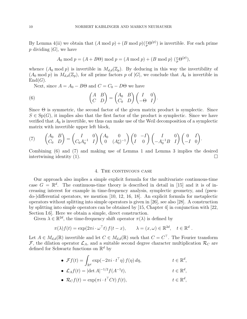By Lemma 4(ii) we obtain that  $(A \mod p) + (B \mod p)(\frac{p}{p}\Theta^{(p)})$  is invertible. For each prime p dividing  $|G|$ , we have

$$
A_0 \bmod p = (A + B\Theta) \bmod p = (A \bmod p) + (B \bmod p) \left(\frac{\nu}{p}\Theta^{(p)}\right),
$$

whence  $(A_0 \text{ mod } p)$  is invertible in  $M_{d,d}(\mathbb{Z}_p)$ . By deducing in this way the invertibility of  $(A_0 \text{ mod } p)$  in  $M_{d,d}(\mathbb{Z}_p)$ , for all prime factors p of  $|G|$ , we conclude that  $A_0$  is invertible in  $End(G).$ 

Next, since  $A = A_0 - B\Theta$  and  $C = C_0 - D\Theta$  we have

(6) 
$$
\begin{pmatrix} A & B \\ C & D \end{pmatrix} = \begin{pmatrix} A_0 & B \\ C_0 & D \end{pmatrix} \begin{pmatrix} I & 0 \\ -\Theta & I \end{pmatrix}
$$

Since  $\Theta$  is symmetric, the second factor of the given matrix product is symplectic. Since  $S \in Sp(G)$ , it implies also that the first factor of the product is symplectic. Since we have verified that  $A_0$  is invertible, we thus can make use of the Weil decomposition of a symplectic matrix with invertible upper left block,

.

.

$$
(7) \qquad \begin{pmatrix} A_0 & B \\ C_0 & D \end{pmatrix} = \begin{pmatrix} I & 0 \\ C_0 A_0^{-1} & I \end{pmatrix} \begin{pmatrix} A_0 & 0 \\ 0 & (A_0^*)^{-1} \end{pmatrix} \begin{pmatrix} 0 & -I \\ I & 0 \end{pmatrix} \begin{pmatrix} I & 0 \\ -A_0^{-1}B & I \end{pmatrix} \begin{pmatrix} 0 & I \\ -I & 0 \end{pmatrix}
$$

Combining (6) and (7) and making use of Lemma 1 and Lemma 3 implies the desired intertwining identity (1).

#### 4. THE CONTINUOUS CASE

Our approach also implies a simple explicit formula for the multivariate continuous-time case  $G = \mathbb{R}^d$ . The continuous-time theory is described in detail in [15] and it is of increasing interest for example in time-frequency analysis, symplectic geometry, and (pseudo-)differential operators, we mention [10, 12, 16, 18]. An explicit formula for metaplectic operators without splitting into simple operators is given in [26], see also [28]. A construction by splitting into simple operators can be obtained by [15, Chapter 4] in conjunction with [22, Section I.6]. Here we obtain a simple, direct construction.

Given  $\lambda \in \mathbb{R}^{2d}$ , the time-frequency shift operator  $\pi(\lambda)$  is defined by

$$
\pi(\lambda)f(t) = \exp(2\pi i \cdot \omega^{\top}t) f(t - x), \qquad \lambda = (x, \omega) \in \mathbb{R}^{2d}, \quad t \in \mathbb{R}^{d}.
$$

Let  $A \in M_{d,d}(\mathbb{R})$  invertible and let  $C \in M_{d,d}(\mathbb{R})$  such that  $C = C^{\top}$ . The Fourier transform  $\mathcal{F}$ , the dilation operator  $\mathcal{L}_A$ , and a suitable second degree character multiplication  $\mathcal{R}_C$  are defined for Schwartz functions on  $\mathbb{R}^d$  by

• 
$$
\mathcal{F}f(t) = \int_{\mathbb{R}^d} \exp(-2\pi i \cdot t^{\top} \eta) f(\eta) d\eta,
$$
  $t \in \mathbb{R}^d$ ,

- $\mathcal{L}_A f(t) = |\det A|^{-1/2} f(A^{-1})$ t),  $t \in \mathbb{R}^d$ ,
- $\mathcal{R}_C f(t) = \exp(\pi i \cdot t^\top C t) f(t),$   $t \in \mathbb{R}$ d ,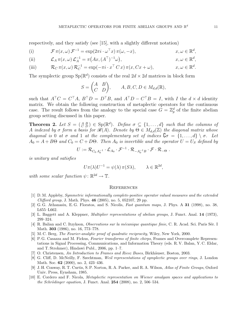respectively, and they satisfy (see [15], with a slightly different notation)

(i) 
$$
\mathcal{F}\pi(x,\omega)\mathcal{F}^{-1} = \exp(2\pi i \cdot \omega^{\top} x)\,\pi(\omega,-x), \qquad x,\omega \in \mathbb{R}^d,
$$

(ii) 
$$
\mathcal{L}_A \pi(x,\omega) \mathcal{L}_A^{-1} = \pi(Ax, (A^\top)^{-1}\omega), \qquad x, \omega \in \mathbb{R}^d,
$$

(iii) 
$$
\mathcal{R}_C \pi(x,\omega) \mathcal{R}_C^{-1} = \exp(-\pi i \cdot x^\top C x) \pi(x, Cx + \omega), \qquad x, \omega \in \mathbb{R}^d.
$$

The symplectic group  $Sp(\mathbb{R}^d)$  consists of the real  $2d \times 2d$  matrices in block form

$$
S = \begin{pmatrix} A & B \\ C & D \end{pmatrix}, \qquad A, B, C, D \in M_{d,d}(\mathbb{R}),
$$

such that  $A^{\top}C = C^{\top}A$ ,  $B^{\top}D = D^{\top}B$ , and  $A^{\top}D - C^{\top}B = I$ , with I the  $d \times d$  identity matrix. We obtain the following construction of metaplectic operators for the continuous case. The result follows from the analogy to the special case  $G = \mathbb{Z}_p^d$  of the finite abelian group setting discussed in this paper.

**Theorem 2.** Let  $S = \begin{pmatrix} A & B \\ C & D \end{pmatrix} \in Sp(\mathbb{R}^d)$ . Define  $\sigma \subseteq \{1, \ldots, d\}$  such that the columns of A indexed by  $\sigma$  form a basis for  $\mathcal{R}(A)$ . Denote by  $\Theta \in M_{d,d}(\mathbb{Z})$  the diagonal matrix whose diagonal is 0 at  $\sigma$  and 1 at the complementary set of indices  ${\bf \hat{G}} = \{1, \ldots, d\} \setminus \sigma$ . Let  $A_0 = A + B\Theta$  and  $C_0 = C + D\Theta$ . Then  $A_0$  is invertible and the operator  $U = U_S$  defined by

$$
U := \mathcal{R}_{C_0 A_0^{-1}} \cdot \mathcal{L}_{A_0} \cdot \mathcal{F}^{-1} \cdot \mathcal{R}_{-A_0^{-1}B} \cdot \mathcal{F} \cdot \mathcal{R}_{-\Theta}.
$$

is unitary and satisfies

$$
U\pi(\lambda)U^{-1} = \psi(\lambda)\,\pi(S\lambda), \qquad \lambda \in \mathbb{R}^{2d},
$$

with some scalar function  $\psi \colon \mathbb{R}^{2d} \to \mathbb{T}$ .

#### **REFERENCES**

- [1] D. M. Appleby, Symmetric informationally complete-positive operator valued measures and the extended Clifford group, J. Math. Phys. 46 (2005), no. 5, 052107, 29 pp.
- [2] G. G. Athanasiu, E. G. Floratos, and S. Nicolis, Fast quantum maps, J. Phys. A 31 (1998), no. 38, L655–L662.
- [3] L. Baggett and A. Kleppner, Multiplier representations of abelian groups, J. Funct. Anal. 14 (1973), 299–324.
- [4] R. Balian and C. Itzykson, *Observations sur la mécanique quantique finie*, C. R. Acad. Sci. Paris Sér. I Math. 303 (1986), no. 16, 773–778.
- [5] M. C. Berg, The Fourier-analytic proof of quadratic reciprocity, Wiley, New York, 2000.
- [6] P. G. Casazza and M. Fickus, Fourier transforms of finite chirps, Frames and Overcomplete Representations in Signal Processing, Communications, and Information Theory (eds. R. V. Balan, Y. C. Eldar, and T. Strohmer), Hindawi Publ., 2006, pp. 1–7.
- [7] O. Christensen, An Introduction to Frames and Riesz Bases, Birkhäuser, Boston, 2003.
- [8] G. Cliff, D. McNeilly, F. Szechtman, Weil representations of symplectic groups over rings, J. London Math. Soc. **62** (2000), no. 2, 423–436.
- [9] J. H. Conway, R. T. Curtis, S. P. Norton, R. A. Parker, and R. A. Wilson, Atlas of Finite Groups, Oxford Univ. Press, Eynsham, 1985.
- [10] E. Cordero and F. Nicola, Metaplectic representation on Wiener amalgam spaces and applications to the Schrödinger equation, J. Funct. Anal.  $254$  (2008), no. 2, 506–534.